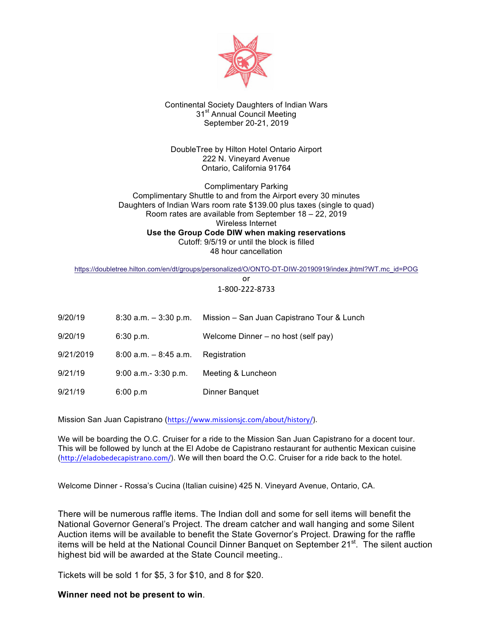

# Continental Society Daughters of Indian Wars 31<sup>st</sup> Annual Council Meeting September 20-21, 2019

DoubleTree by Hilton Hotel Ontario Airport 222 N. Vineyard Avenue Ontario, California 91764

Complimentary Parking Complimentary Shuttle to and from the Airport every 30 minutes Daughters of Indian Wars room rate \$139.00 plus taxes (single to quad) Room rates are available from September 18 – 22, 2019 Wireless Internet **Use the Group Code DIW when making reservations** Cutoff: 9/5/19 or until the block is filled 48 hour cancellation

https://doubletree.hilton.com/en/dt/groups/personalized/O/ONTO-DT-DIW-20190919/index.jhtml?WT.mc\_id=POG

or 1-800-222-8733

| 9/20/19   | $8:30$ a.m. $-3:30$ p.m. | Mission - San Juan Capistrano Tour & Lunch |
|-----------|--------------------------|--------------------------------------------|
| 9/20/19   | 6:30 p.m.                | Welcome Dinner – no host (self pay)        |
| 9/21/2019 | $8:00$ a.m. $-8:45$ a.m. | Registration                               |
| 9/21/19   | $9:00$ a.m. $-3:30$ p.m. | Meeting & Luncheon                         |
| 9/21/19   | 6:00 p.m                 | Dinner Banquet                             |

Mission San Juan Capistrano (https://www.missionsjc.com/about/history/). 

We will be boarding the O.C. Cruiser for a ride to the Mission San Juan Capistrano for a docent tour. This will be followed by lunch at the El Adobe de Capistrano restaurant for authentic Mexican cuisine (http://eladobedecapistrano.com/). We will then board the O.C. Cruiser for a ride back to the hotel.

Welcome Dinner - Rossa's Cucina (Italian cuisine) 425 N. Vineyard Avenue, Ontario, CA.

There will be numerous raffle items. The Indian doll and some for sell items will benefit the National Governor General's Project. The dream catcher and wall hanging and some Silent Auction items will be available to benefit the State Governor's Project. Drawing for the raffle items will be held at the National Council Dinner Banquet on September 21<sup>st</sup>. The silent auction highest bid will be awarded at the State Council meeting..

Tickets will be sold 1 for \$5, 3 for \$10, and 8 for \$20.

**Winner need not be present to win**.